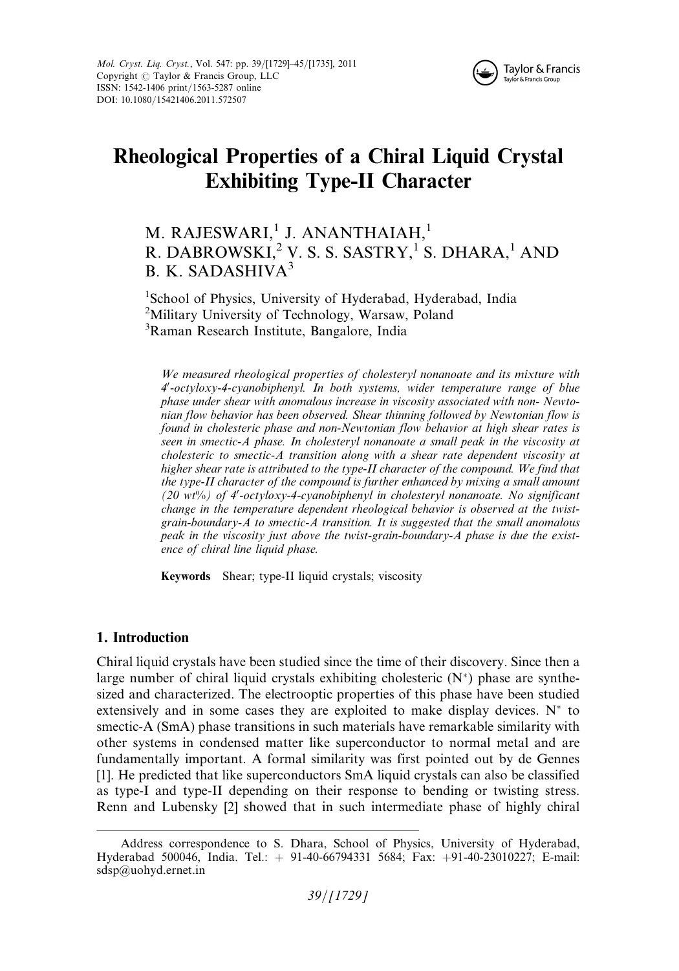

# Rheological Properties of a Chiral Liquid Crystal Exhibiting Type-II Character

## M. RAJESWARI,<sup>1</sup> J. ANANTHAIAH,<sup>1</sup> R. DABROWSKI,<sup>2</sup> V. S. S. SASTRY,<sup>1</sup> S. DHARA,<sup>1</sup> AND B. K. SADASHIVA3

<sup>1</sup>School of Physics, University of Hyderabad, Hyderabad, India <sup>2</sup>Military University of Technology, Warsaw, Poland 3 Raman Research Institute, Bangalore, India

We measured rheological properties of cholesteryl nonanoate and its mixture with 4'-octyloxy-4-cyanobiphenyl. In both systems, wider temperature range of blue phase under shear with anomalous increase in viscosity associated with non- Newtonian flow behavior has been observed. Shear thinning followed by Newtonian flow is found in cholesteric phase and non-Newtonian flow behavior at high shear rates is seen in smectic-A phase. In cholesteryl nonanoate a small peak in the viscosity at cholesteric to smectic-A transition along with a shear rate dependent viscosity at higher shear rate is attributed to the type-II character of the compound. We find that the type-II character of the compound is further enhanced by mixing a small amount (20 wt%) of 4'-octyloxy-4-cyanobiphenyl in cholesteryl nonanoate. No significant change in the temperature dependent rheological behavior is observed at the twistgrain-boundary-A to smectic-A transition. It is suggested that the small anomalous peak in the viscosity just above the twist-grain-boundary-A phase is due the existence of chiral line liquid phase.

Keywords Shear; type-II liquid crystals; viscosity

### 1. Introduction

Chiral liquid crystals have been studied since the time of their discovery. Since then a large number of chiral liquid crystals exhibiting cholesteric  $(N^*)$  phase are synthesized and characterized. The electrooptic properties of this phase have been studied extensively and in some cases they are exploited to make display devices.  $N^*$  to smectic-A (SmA) phase transitions in such materials have remarkable similarity with other systems in condensed matter like superconductor to normal metal and are fundamentally important. A formal similarity was first pointed out by de Gennes [1]. He predicted that like superconductors SmA liquid crystals can also be classified as type-I and type-II depending on their response to bending or twisting stress. Renn and Lubensky [2] showed that in such intermediate phase of highly chiral

Address correspondence to S. Dhara, School of Physics, University of Hyderabad, Hyderabad 500046, India. Tel.: þ 91-40-66794331 5684; Fax: þ91-40-23010227; E-mail: sdsp@uohyd.ernet.in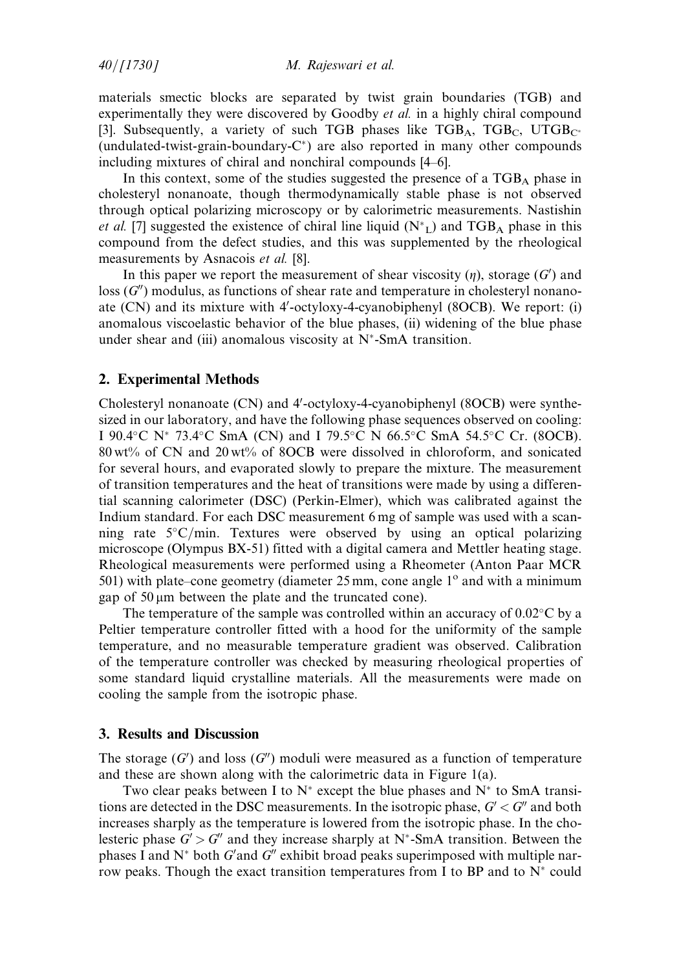$40/[1730]$  M. Rajeswari et al.

materials smectic blocks are separated by twist grain boundaries (TGB) and experimentally they were discovered by Goodby et al. in a highly chiral compound [3]. Subsequently, a variety of such TGB phases like  $TGB_A$ ,  $TGB_C$ ,  $UTGB_{C^*}$ (undulated-twist-grain-boundary- $C^*$ ) are also reported in many other compounds including mixtures of chiral and nonchiral compounds [4–6].

In this context, some of the studies suggested the presence of a TGBA phase in cholesteryl nonanoate, though thermodynamically stable phase is not observed through optical polarizing microscopy or by calorimetric measurements. Nastishin et al. [7] suggested the existence of chiral line liquid  $(N^*_{L})$  and TGB<sub>A</sub> phase in this compound from the defect studies, and this was supplemented by the rheological measurements by Asnacois et al. [8].

In this paper we report the measurement of shear viscosity  $(\eta)$ , storage  $(G')$  and  $\log(G'')$  modulus, as functions of shear rate and temperature in cholesteryl nonanoate (CN) and its mixture with 4'-octyloxy-4-cyanobiphenyl (8OCB). We report: (i) anomalous viscoelastic behavior of the blue phases, (ii) widening of the blue phase under shear and (iii) anomalous viscosity at  $N^*$ -SmA transition.

#### 2. Experimental Methods

Cholesteryl nonanoate (CN) and 4'-octyloxy-4-cyanobiphenyl (8OCB) were synthesized in our laboratory, and have the following phase sequences observed on cooling: I 90.4°C N\* 73.4°C SmA (CN) and I 79.5°C N 66.5°C SmA 54.5°C Cr. (8OCB). 80 wt% of CN and 20 wt% of 8OCB were dissolved in chloroform, and sonicated for several hours, and evaporated slowly to prepare the mixture. The measurement of transition temperatures and the heat of transitions were made by using a differential scanning calorimeter (DSC) (Perkin-Elmer), which was calibrated against the Indium standard. For each DSC measurement 6 mg of sample was used with a scanning rate  $5^{\circ}$ C/min. Textures were observed by using an optical polarizing microscope (Olympus BX-51) fitted with a digital camera and Mettler heating stage. Rheological measurements were performed using a Rheometer (Anton Paar MCR 501) with plate–cone geometry (diameter  $25 \text{ mm}$ , cone angle  $1^{\circ}$  and with a minimum gap of 50 *m*m between the plate and the truncated cone).

The temperature of the sample was controlled within an accuracy of  $0.02^{\circ}$ C by a Peltier temperature controller fitted with a hood for the uniformity of the sample temperature, and no measurable temperature gradient was observed. Calibration of the temperature controller was checked by measuring rheological properties of some standard liquid crystalline materials. All the measurements were made on cooling the sample from the isotropic phase.

#### 3. Results and Discussion

The storage  $(G')$  and loss  $(G'')$  moduli were measured as a function of temperature and these are shown along with the calorimetric data in Figure 1(a).

Two clear peaks between I to  $N^*$  except the blue phases and  $N^*$  to SmA transitions are detected in the DSC measurements. In the isotropic phase,  $G' < G''$  and both increases sharply as the temperature is lowered from the isotropic phase. In the cholesteric phase  $G' > G''$  and they increase sharply at N<sup>\*</sup>-SmA transition. Between the phases I and  $N^*$  both  $G'$  and  $G''$  exhibit broad peaks superimposed with multiple narrow peaks. Though the exact transition temperatures from I to BP and to  $N^*$  could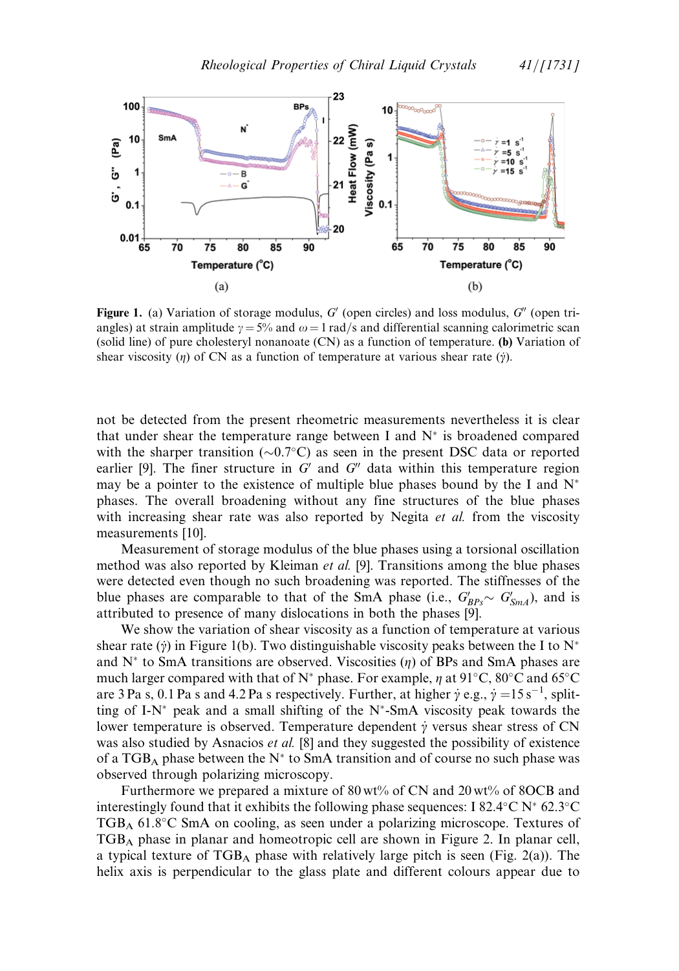

**Figure 1.** (a) Variation of storage modulus,  $G'$  (open circles) and loss modulus,  $G''$  (open triangles) at strain amplitude  $\gamma = 5\%$  and  $\omega = 1$  rad/s and differential scanning calorimetric scan (solid line) of pure cholesteryl nonanoate (CN) as a function of temperature. (b) Variation of shear viscosity ( $\eta$ ) of CN as a function of temperature at various shear rate ( $\dot{\gamma}$ ).

not be detected from the present rheometric measurements nevertheless it is clear that under shear the temperature range between I and  $N^*$  is broadened compared with the sharper transition  $(\sim 0.7\degree C)$  as seen in the present DSC data or reported earlier [9]. The finer structure in  $G'$  and  $G''$  data within this temperature region may be a pointer to the existence of multiple blue phases bound by the I and  $N^*$ phases. The overall broadening without any fine structures of the blue phases with increasing shear rate was also reported by Negita et al. from the viscosity measurements [10].

Measurement of storage modulus of the blue phases using a torsional oscillation method was also reported by Kleiman *et al.* [9]. Transitions among the blue phases were detected even though no such broadening was reported. The stiffnesses of the blue phases are comparable to that of the SmA phase (i.e.,  $G'_{BPs} \sim G'_{SmA}$ ), and is attributed to presence of many dislocations in both the phases [9].

We show the variation of shear viscosity as a function of temperature at various shear rate ( $\dot{y}$ ) in Figure 1(b). Two distinguishable viscosity peaks between the I to N<sup>\*</sup> and  $N^*$  to SmA transitions are observed. Viscosities (*n*) of BPs and SmA phases are much larger compared with that of N<sup>\*</sup> phase. For example,  $\eta$  at 91°C, 80°C and 65°C are 3 Pa s, 0.1 Pa s and 4.2 Pa s respectively. Further, at higher  $\dot{\gamma}$  e.g.,  $\dot{\gamma} = 15 \,\mathrm{s}^{-1}$ , splitting of I-N\* peak and a small shifting of the N\*-SmA viscosity peak towards the lower temperature is observed. Temperature dependent  $\dot{\gamma}$  versus shear stress of CN was also studied by Asnacios et al. [8] and they suggested the possibility of existence of a TGB<sub>A</sub> phase between the N<sup>\*</sup> to SmA transition and of course no such phase was observed through polarizing microscopy.

Furthermore we prepared a mixture of 80 wt% of CN and 20 wt% of 8OCB and interestingly found that it exhibits the following phase sequences: I 82.4 $\rm ^{\circ}C$  N $\rm ^{\ast}$  62.3 $\rm ^{\circ}C$ TGB<sub>A</sub> 61.8°C SmA on cooling, as seen under a polarizing microscope. Textures of TGBA phase in planar and homeotropic cell are shown in Figure 2. In planar cell, a typical texture of  $TGB_A$  phase with relatively large pitch is seen (Fig. 2(a)). The helix axis is perpendicular to the glass plate and different colours appear due to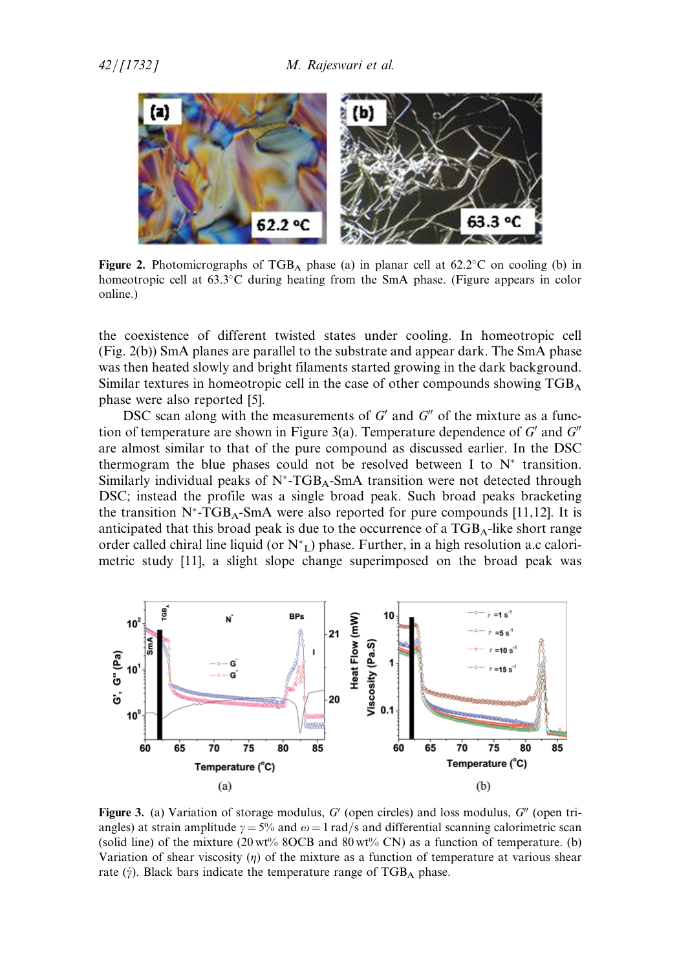

Figure 2. Photomicrographs of  $TGB_A$  phase (a) in planar cell at 62.2 $\degree$ C on cooling (b) in homeotropic cell at 63.3°C during heating from the SmA phase. (Figure appears in color online.)

the coexistence of different twisted states under cooling. In homeotropic cell (Fig. 2(b)) SmA planes are parallel to the substrate and appear dark. The SmA phase was then heated slowly and bright filaments started growing in the dark background. Similar textures in homeotropic cell in the case of other compounds showing TGBA phase were also reported [5].

DSC scan along with the measurements of  $G'$  and  $G''$  of the mixture as a function of temperature are shown in Figure 3(a). Temperature dependence of  $G'$  and  $G''$ are almost similar to that of the pure compound as discussed earlier. In the DSC thermogram the blue phases could not be resolved between I to  $N^*$  transition. Similarly individual peaks of  $N^*$ -TGB<sub>A</sub>-SmA transition were not detected through DSC; instead the profile was a single broad peak. Such broad peaks bracketing the transition  $N^*$ -TGB<sub>A</sub>-SmA were also reported for pure compounds [11,12]. It is anticipated that this broad peak is due to the occurrence of a  $TGB<sub>A</sub>$ -like short range order called chiral line liquid (or  $N^*$ <sub>L</sub>) phase. Further, in a high resolution a.c calorimetric study [11], a slight slope change superimposed on the broad peak was



Figure 3. (a) Variation of storage modulus,  $G'$  (open circles) and loss modulus,  $G''$  (open triangles) at strain amplitude  $\gamma = 5\%$  and  $\omega = 1$  rad/s and differential scanning calorimetric scan (solid line) of the mixture  $(20 \text{ wt\% } 80 \text{ CB and } 80 \text{ wt\% } \text{ CN})$  as a function of temperature. (b) Variation of shear viscosity  $(\eta)$  of the mixture as a function of temperature at various shear rate ( $\dot{y}$ ). Black bars indicate the temperature range of TGB<sub>A</sub> phase.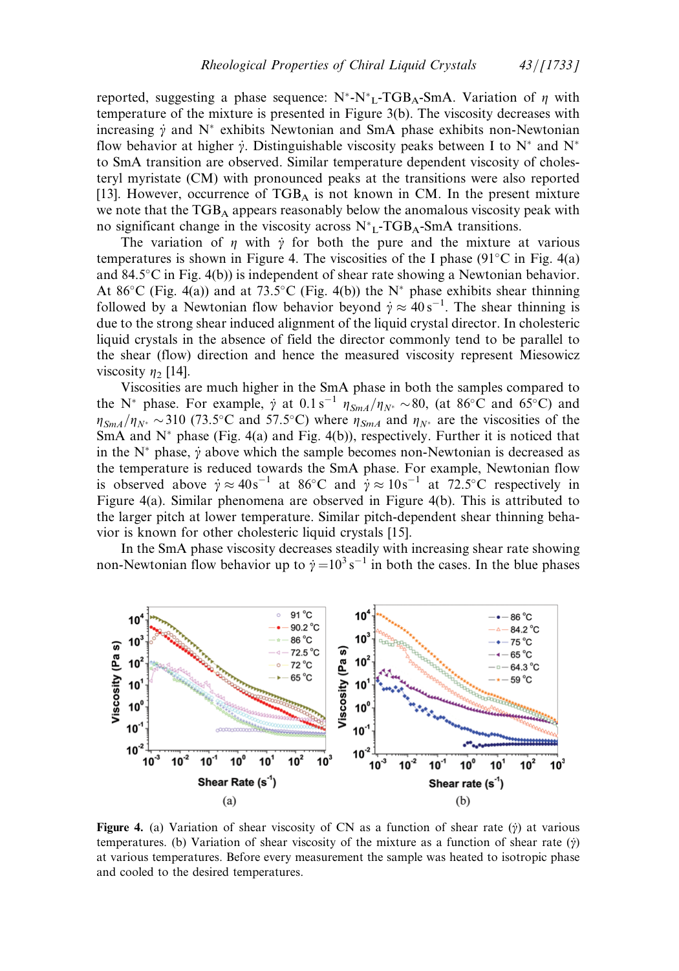reported, suggesting a phase sequence:  $N^* \cdot N^* L^* TGB_A$ -SmA. Variation of  $\eta$  with temperature of the mixture is presented in Figure 3(b). The viscosity decreases with increasing  $\dot{\gamma}$  and N<sup>\*</sup> exhibits Newtonian and SmA phase exhibits non-Newtonian flow behavior at higher  $\dot{\gamma}$ . Distinguishable viscosity peaks between I to N<sup>\*</sup> and N<sup>\*</sup> to SmA transition are observed. Similar temperature dependent viscosity of cholesteryl myristate (CM) with pronounced peaks at the transitions were also reported [13]. However, occurrence of  $TGB<sub>A</sub>$  is not known in CM. In the present mixture we note that the  $TGB<sub>A</sub>$  appears reasonably below the anomalous viscosity peak with no significant change in the viscosity across  $N^*_{L}$ -TGB<sub>A</sub>-SmA transitions.

The variation of  $\eta$  with  $\dot{\gamma}$  for both the pure and the mixture at various temperatures is shown in Figure 4. The viscosities of the I phase  $(91^{\circ}C \text{ in Fig. 4(a)}$ and 84.5°C in Fig. 4(b)) is independent of shear rate showing a Newtonian behavior. At 86°C (Fig. 4(a)) and at 73.5°C (Fig. 4(b)) the N<sup>\*</sup> phase exhibits shear thinning followed by a Newtonian flow behavior beyond  $\dot{\gamma} \approx 40 \,\mathrm{s}^{-1}$ . The shear thinning is due to the strong shear induced alignment of the liquid crystal director. In cholesteric liquid crystals in the absence of field the director commonly tend to be parallel to the shear (flow) direction and hence the measured viscosity represent Miesowicz viscosity  $\eta_2$  [14].

Viscosities are much higher in the SmA phase in both the samples compared to the N<sup>\*</sup> phase. For example,  $\dot{\gamma}$  at  $0.1 s^{-1} \eta_{SmA}/\eta_{N^*} \sim 80$ , (at  $86^{\circ}$ C and  $65^{\circ}$ C) and  $\eta_{SmA}/\eta_{N^*} \sim 310$  (73.5°C and 57.5°C) where  $\eta_{SmA}$  and  $\eta_{N^*}$  are the viscosities of the SmA and  $N^*$  phase (Fig. 4(a) and Fig. 4(b)), respectively. Further it is noticed that in the  $N^*$  phase,  $\dot{y}$  above which the sample becomes non-Newtonian is decreased as the temperature is reduced towards the SmA phase. For example, Newtonian flow is observed above  $\dot{\gamma} \approx 40s^{-1}$  at  $86^{\circ}$ C and  $\dot{\gamma} \approx 10s^{-1}$  at 72.5°C respectively in Figure 4(a). Similar phenomena are observed in Figure 4(b). This is attributed to the larger pitch at lower temperature. Similar pitch-dependent shear thinning behavior is known for other cholesteric liquid crystals [15].

In the SmA phase viscosity decreases steadily with increasing shear rate showing non-Newtonian flow behavior up to  $\dot{\gamma} = 10^3 \,\mathrm{s}^{-1}$  in both the cases. In the blue phases



Figure 4. (a) Variation of shear viscosity of CN as a function of shear rate ( $\dot{y}$ ) at various temperatures. (b) Variation of shear viscosity of the mixture as a function of shear rate  $(\dot{y})$ at various temperatures. Before every measurement the sample was heated to isotropic phase and cooled to the desired temperatures.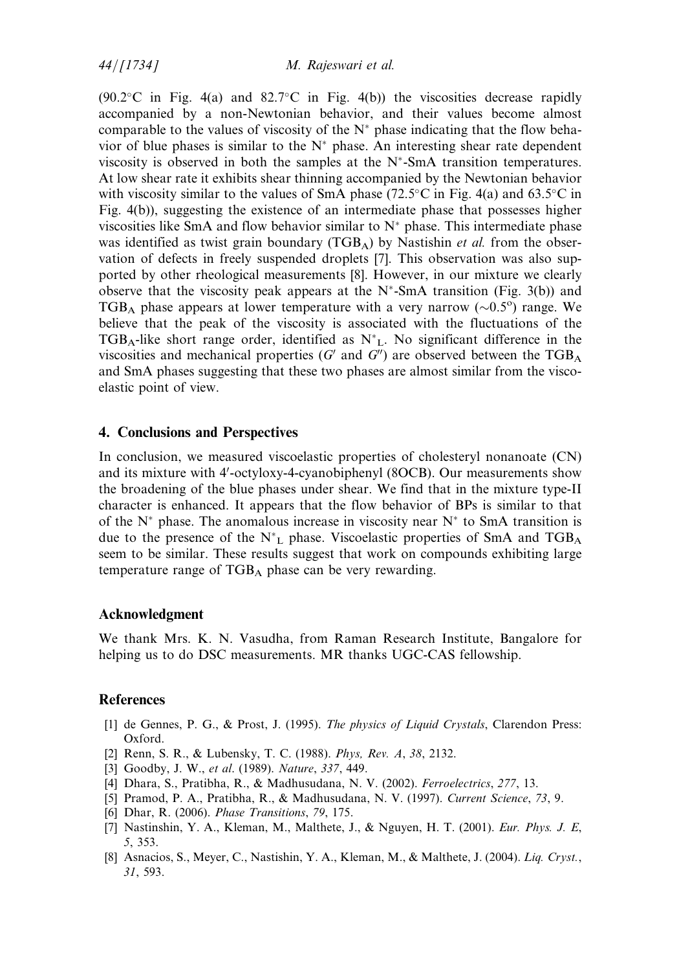$44/[1734]$  M. Rajeswari et al.

 $(90.2^{\circ}$ C in Fig. 4(a) and 82.7 $^{\circ}$ C in Fig. 4(b)) the viscosities decrease rapidly accompanied by a non-Newtonian behavior, and their values become almost comparable to the values of viscosity of the  $N^*$  phase indicating that the flow behavior of blue phases is similar to the  $N^*$  phase. An interesting shear rate dependent viscosity is observed in both the samples at the  $N^*$ -SmA transition temperatures. At low shear rate it exhibits shear thinning accompanied by the Newtonian behavior with viscosity similar to the values of SmA phase (72.5 $\degree$ C in Fig. 4(a) and 63.5 $\degree$ C in Fig. 4(b)), suggesting the existence of an intermediate phase that possesses higher viscosities like SmA and flow behavior similar to  $N^*$  phase. This intermediate phase was identified as twist grain boundary ( $TGB<sub>A</sub>$ ) by Nastishin *et al.* from the observation of defects in freely suspended droplets [7]. This observation was also supported by other rheological measurements [8]. However, in our mixture we clearly observe that the viscosity peak appears at the  $N^*$ -SmA transition (Fig. 3(b)) and TGB<sub>A</sub> phase appears at lower temperature with a very narrow  $(\sim 0.5^{\circ})$  range. We believe that the peak of the viscosity is associated with the fluctuations of the  $TGB_A$ -like short range order, identified as  $N^*$ <sub>L</sub>. No significant difference in the viscosities and mechanical properties ( $G'$  and  $G''$ ) are observed between the TGB<sub>A</sub> and SmA phases suggesting that these two phases are almost similar from the viscoelastic point of view.

#### 4. Conclusions and Perspectives

In conclusion, we measured viscoelastic properties of cholesteryl nonanoate (CN) and its mixture with 4'-octyloxy-4-cyanobiphenyl (8OCB). Our measurements show the broadening of the blue phases under shear. We find that in the mixture type-II character is enhanced. It appears that the flow behavior of BPs is similar to that of the  $N^*$  phase. The anomalous increase in viscosity near  $N^*$  to SmA transition is due to the presence of the  $N^*$ <sub>L</sub> phase. Viscoelastic properties of SmA and TGB<sub>A</sub> seem to be similar. These results suggest that work on compounds exhibiting large temperature range of  $TGB_A$  phase can be very rewarding.

#### Acknowledgment

We thank Mrs. K. N. Vasudha, from Raman Research Institute, Bangalore for helping us to do DSC measurements. MR thanks UGC-CAS fellowship.

#### **References**

- [1] de Gennes, P. G., & Prost, J. (1995). The physics of Liquid Crystals, Clarendon Press: Oxford.
- [2] Renn, S. R., & Lubensky, T. C. (1988). *Phys. Rev. A, 38, 2132.*
- [3] Goodby, J. W., et al. (1989). Nature, 337, 449.
- [4] Dhara, S., Pratibha, R., & Madhusudana, N. V. (2002). Ferroelectrics, 277, 13.
- [5] Pramod, P. A., Pratibha, R., & Madhusudana, N. V. (1997). Current Science, 73, 9.
- [6] Dhar, R. (2006). Phase Transitions, 79, 175.
- [7] Nastinshin, Y. A., Kleman, M., Malthete, J., & Nguyen, H. T. (2001). Eur. Phys. J. E, 5, 353.
- [8] Asnacios, S., Meyer, C., Nastishin, Y. A., Kleman, M., & Malthete, J. (2004). Lig. Cryst., 31, 593.